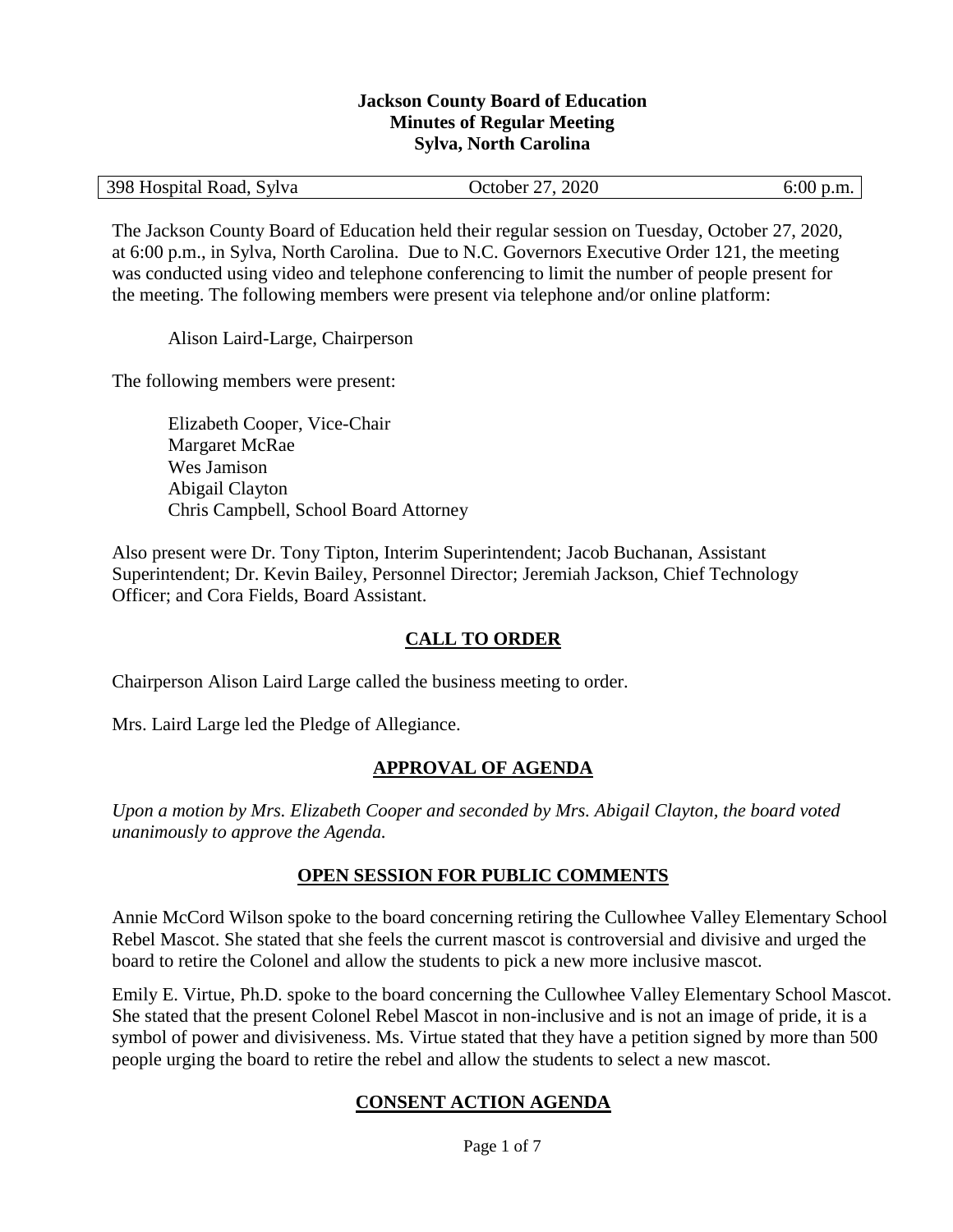#### **Jackson County Board of Education Minutes of Regular Meeting Sylva, North Carolina**

| 398 Hospital Road, Sylva | October 27, 2020 | $6:00$ p.m. |
|--------------------------|------------------|-------------|
|--------------------------|------------------|-------------|

The Jackson County Board of Education held their regular session on Tuesday, October 27, 2020, at 6:00 p.m., in Sylva, North Carolina. Due to N.C. Governors Executive Order 121, the meeting was conducted using video and telephone conferencing to limit the number of people present for the meeting. The following members were present via telephone and/or online platform:

Alison Laird-Large, Chairperson

The following members were present:

Elizabeth Cooper, Vice-Chair Margaret McRae Wes Jamison Abigail Clayton Chris Campbell, School Board Attorney

Also present were Dr. Tony Tipton, Interim Superintendent; Jacob Buchanan, Assistant Superintendent; Dr. Kevin Bailey, Personnel Director; Jeremiah Jackson, Chief Technology Officer; and Cora Fields, Board Assistant.

### **CALL TO ORDER**

Chairperson Alison Laird Large called the business meeting to order.

Mrs. Laird Large led the Pledge of Allegiance.

### **APPROVAL OF AGENDA**

*Upon a motion by Mrs. Elizabeth Cooper and seconded by Mrs. Abigail Clayton, the board voted unanimously to approve the Agenda.*

### **OPEN SESSION FOR PUBLIC COMMENTS**

Annie McCord Wilson spoke to the board concerning retiring the Cullowhee Valley Elementary School Rebel Mascot. She stated that she feels the current mascot is controversial and divisive and urged the board to retire the Colonel and allow the students to pick a new more inclusive mascot.

Emily E. Virtue, Ph.D. spoke to the board concerning the Cullowhee Valley Elementary School Mascot. She stated that the present Colonel Rebel Mascot in non-inclusive and is not an image of pride, it is a symbol of power and divisiveness. Ms. Virtue stated that they have a petition signed by more than 500 people urging the board to retire the rebel and allow the students to select a new mascot.

# **CONSENT ACTION AGENDA**

Page 1 of 7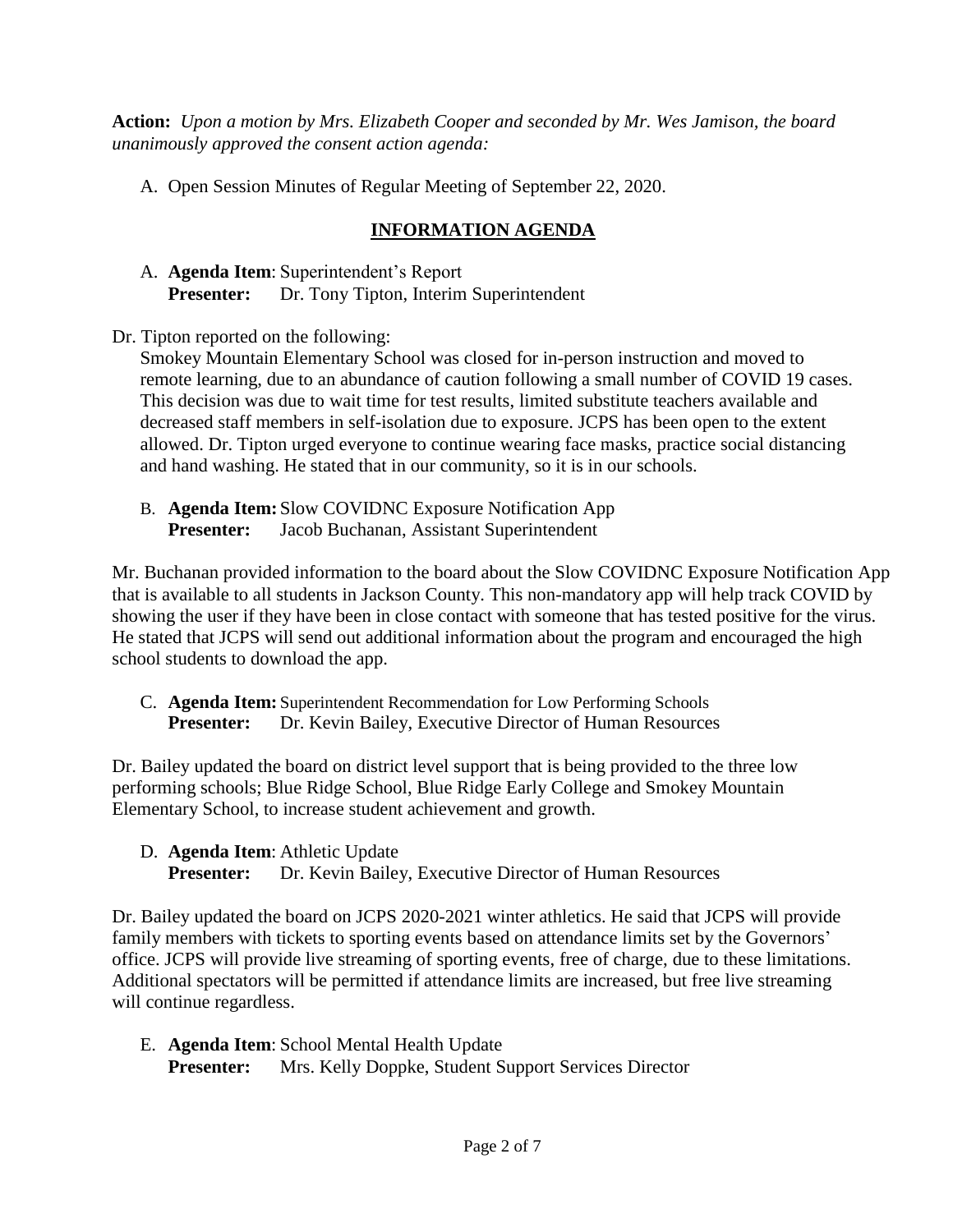**Action:** *Upon a motion by Mrs. Elizabeth Cooper and seconded by Mr. Wes Jamison, the board unanimously approved the consent action agenda:*

A. Open Session Minutes of Regular Meeting of September 22, 2020.

# **INFORMATION AGENDA**

A. **Agenda Item**: Superintendent's Report **Presenter:** Dr. Tony Tipton, Interim Superintendent

Dr. Tipton reported on the following:

Smokey Mountain Elementary School was closed for in-person instruction and moved to remote learning, due to an abundance of caution following a small number of COVID 19 cases. This decision was due to wait time for test results, limited substitute teachers available and decreased staff members in self-isolation due to exposure. JCPS has been open to the extent allowed. Dr. Tipton urged everyone to continue wearing face masks, practice social distancing and hand washing. He stated that in our community, so it is in our schools.

B. **Agenda Item:** Slow COVIDNC Exposure Notification App **Presenter:** Jacob Buchanan, Assistant Superintendent

Mr. Buchanan provided information to the board about the Slow COVIDNC Exposure Notification App that is available to all students in Jackson County. This non-mandatory app will help track COVID by showing the user if they have been in close contact with someone that has tested positive for the virus. He stated that JCPS will send out additional information about the program and encouraged the high school students to download the app.

C. **Agenda Item:** Superintendent Recommendation for Low Performing Schools **Presenter:** Dr. Kevin Bailey, Executive Director of Human Resources

Dr. Bailey updated the board on district level support that is being provided to the three low performing schools; Blue Ridge School, Blue Ridge Early College and Smokey Mountain Elementary School, to increase student achievement and growth.

D. **Agenda Item**: Athletic Update

**Presenter:** Dr. Kevin Bailey, Executive Director of Human Resources

Dr. Bailey updated the board on JCPS 2020-2021 winter athletics. He said that JCPS will provide family members with tickets to sporting events based on attendance limits set by the Governors' office. JCPS will provide live streaming of sporting events, free of charge, due to these limitations. Additional spectators will be permitted if attendance limits are increased, but free live streaming will continue regardless.

E. **Agenda Item**: School Mental Health Update **Presenter:** Mrs. Kelly Doppke, Student Support Services Director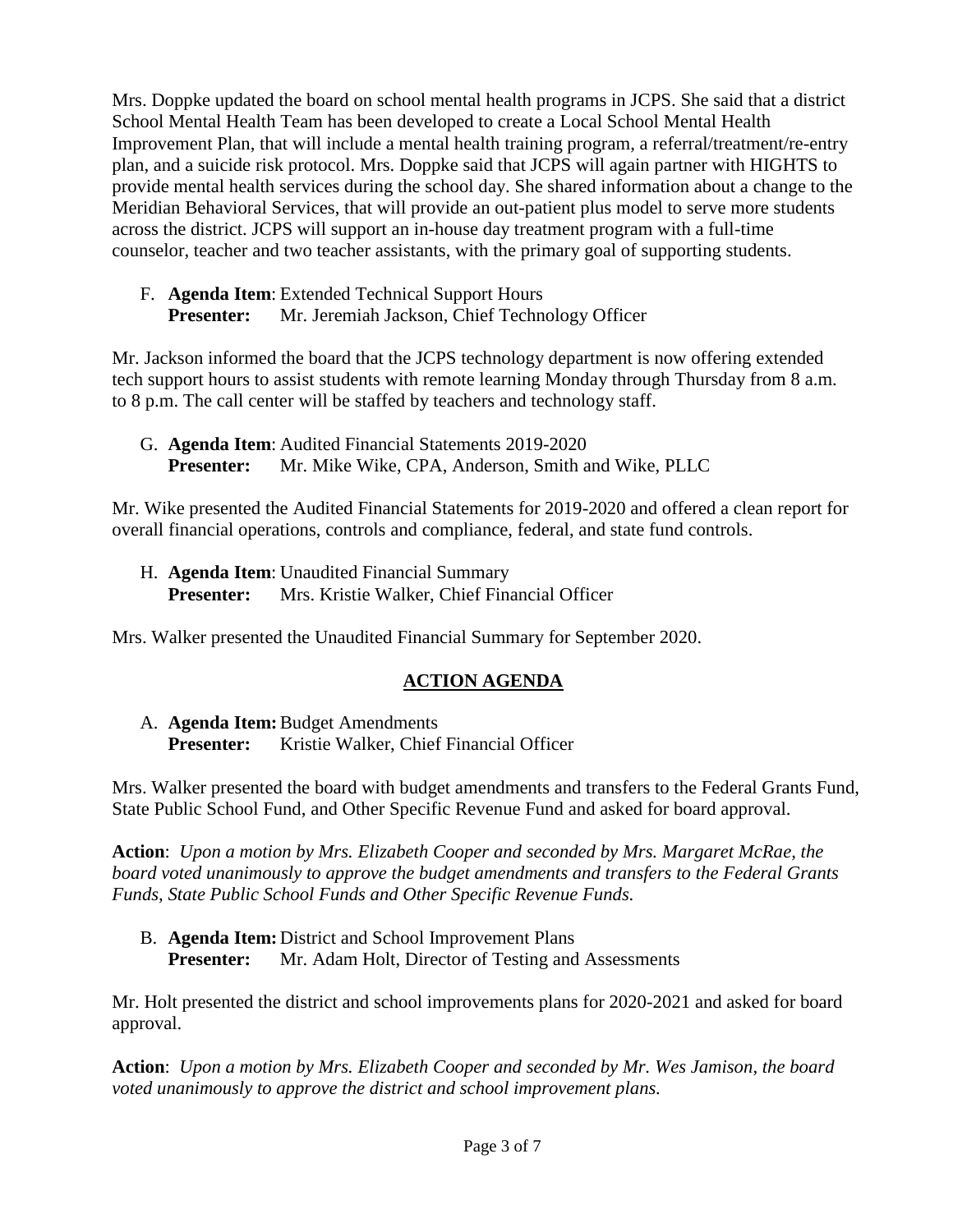Mrs. Doppke updated the board on school mental health programs in JCPS. She said that a district School Mental Health Team has been developed to create a Local School Mental Health Improvement Plan, that will include a mental health training program, a referral/treatment/re-entry plan, and a suicide risk protocol. Mrs. Doppke said that JCPS will again partner with HIGHTS to provide mental health services during the school day. She shared information about a change to the Meridian Behavioral Services, that will provide an out-patient plus model to serve more students across the district. JCPS will support an in-house day treatment program with a full-time counselor, teacher and two teacher assistants, with the primary goal of supporting students.

F. **Agenda Item**: Extended Technical Support Hours **Presenter:** Mr. Jeremiah Jackson, Chief Technology Officer

Mr. Jackson informed the board that the JCPS technology department is now offering extended tech support hours to assist students with remote learning Monday through Thursday from 8 a.m. to 8 p.m. The call center will be staffed by teachers and technology staff.

G. **Agenda Item**: Audited Financial Statements 2019-2020 **Presenter:** Mr. Mike Wike, CPA, Anderson, Smith and Wike, PLLC

Mr. Wike presented the Audited Financial Statements for 2019-2020 and offered a clean report for overall financial operations, controls and compliance, federal, and state fund controls.

H. **Agenda Item**: Unaudited Financial Summary **Presenter:** Mrs. Kristie Walker, Chief Financial Officer

Mrs. Walker presented the Unaudited Financial Summary for September 2020.

# **ACTION AGENDA**

A. **Agenda Item:**Budget Amendments **Presenter:** Kristie Walker, Chief Financial Officer

Mrs. Walker presented the board with budget amendments and transfers to the Federal Grants Fund, State Public School Fund, and Other Specific Revenue Fund and asked for board approval.

**Action**: *Upon a motion by Mrs. Elizabeth Cooper and seconded by Mrs. Margaret McRae, the board voted unanimously to approve the budget amendments and transfers to the Federal Grants Funds, State Public School Funds and Other Specific Revenue Funds.*

B. **Agenda Item:** District and School Improvement Plans **Presenter:** Mr. Adam Holt, Director of Testing and Assessments

Mr. Holt presented the district and school improvements plans for 2020-2021 and asked for board approval.

**Action**: *Upon a motion by Mrs. Elizabeth Cooper and seconded by Mr. Wes Jamison, the board voted unanimously to approve the district and school improvement plans.*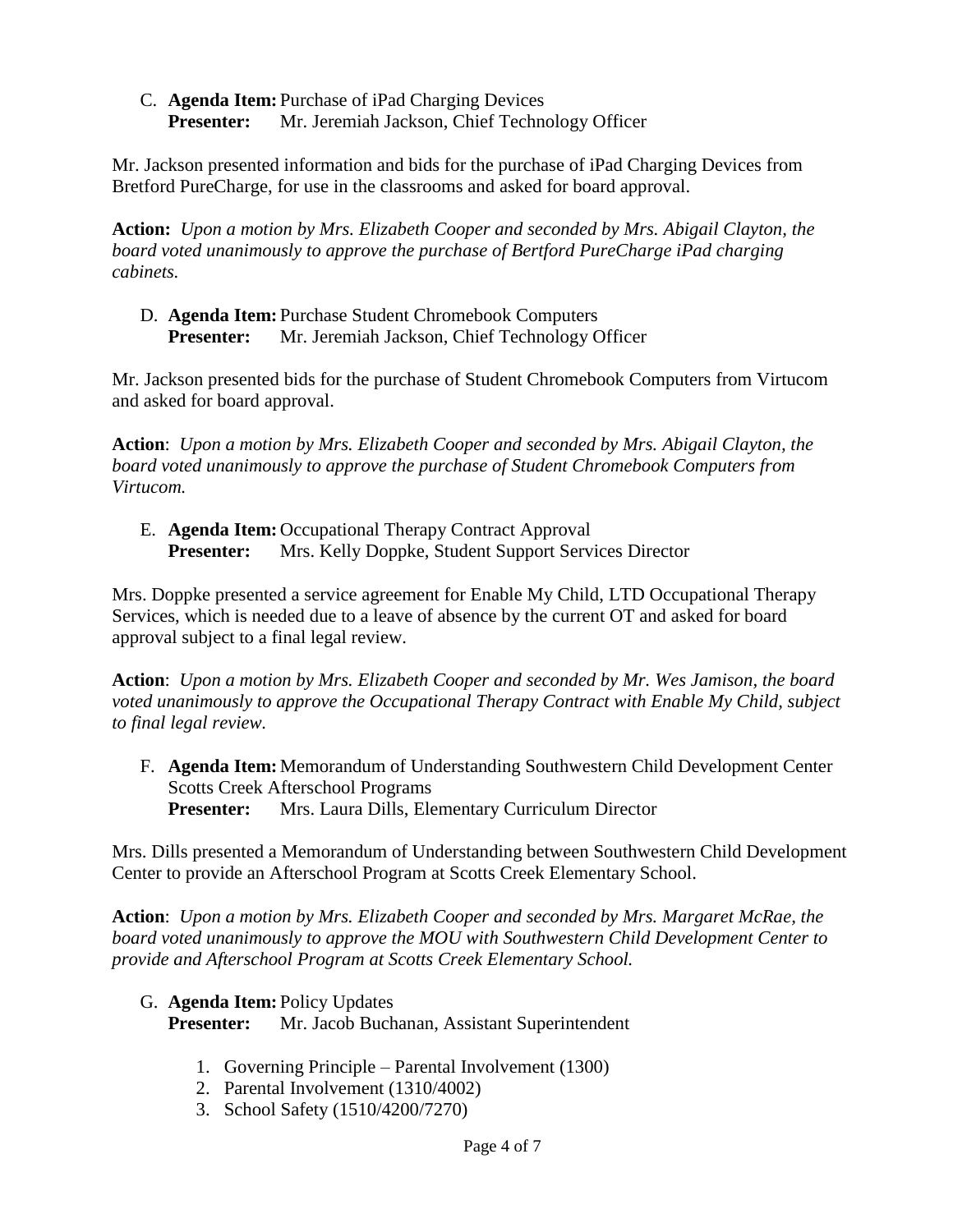C. **Agenda Item:** Purchase of iPad Charging Devices **Presenter:** Mr. Jeremiah Jackson, Chief Technology Officer

Mr. Jackson presented information and bids for the purchase of iPad Charging Devices from Bretford PureCharge, for use in the classrooms and asked for board approval.

**Action:** *Upon a motion by Mrs. Elizabeth Cooper and seconded by Mrs. Abigail Clayton, the board voted unanimously to approve the purchase of Bertford PureCharge iPad charging cabinets.*

D. **Agenda Item:** Purchase Student Chromebook Computers **Presenter:** Mr. Jeremiah Jackson, Chief Technology Officer

Mr. Jackson presented bids for the purchase of Student Chromebook Computers from Virtucom and asked for board approval.

**Action**: *Upon a motion by Mrs. Elizabeth Cooper and seconded by Mrs. Abigail Clayton, the board voted unanimously to approve the purchase of Student Chromebook Computers from Virtucom.*

E. **Agenda Item:** Occupational Therapy Contract Approval **Presenter:** Mrs. Kelly Doppke, Student Support Services Director

Mrs. Doppke presented a service agreement for Enable My Child, LTD Occupational Therapy Services, which is needed due to a leave of absence by the current OT and asked for board approval subject to a final legal review.

**Action**: *Upon a motion by Mrs. Elizabeth Cooper and seconded by Mr. Wes Jamison, the board voted unanimously to approve the Occupational Therapy Contract with Enable My Child, subject to final legal review.*

F. **Agenda Item:** Memorandum of Understanding Southwestern Child Development Center Scotts Creek Afterschool Programs **Presenter:** Mrs. Laura Dills, Elementary Curriculum Director

Mrs. Dills presented a Memorandum of Understanding between Southwestern Child Development Center to provide an Afterschool Program at Scotts Creek Elementary School.

**Action**: *Upon a motion by Mrs. Elizabeth Cooper and seconded by Mrs. Margaret McRae, the board voted unanimously to approve the MOU with Southwestern Child Development Center to provide and Afterschool Program at Scotts Creek Elementary School.*

G. **Agenda Item:** Policy Updates

**Presenter:** Mr. Jacob Buchanan, Assistant Superintendent

- 1. Governing Principle Parental Involvement (1300)
- 2. Parental Involvement (1310/4002)
- 3. School Safety (1510/4200/7270)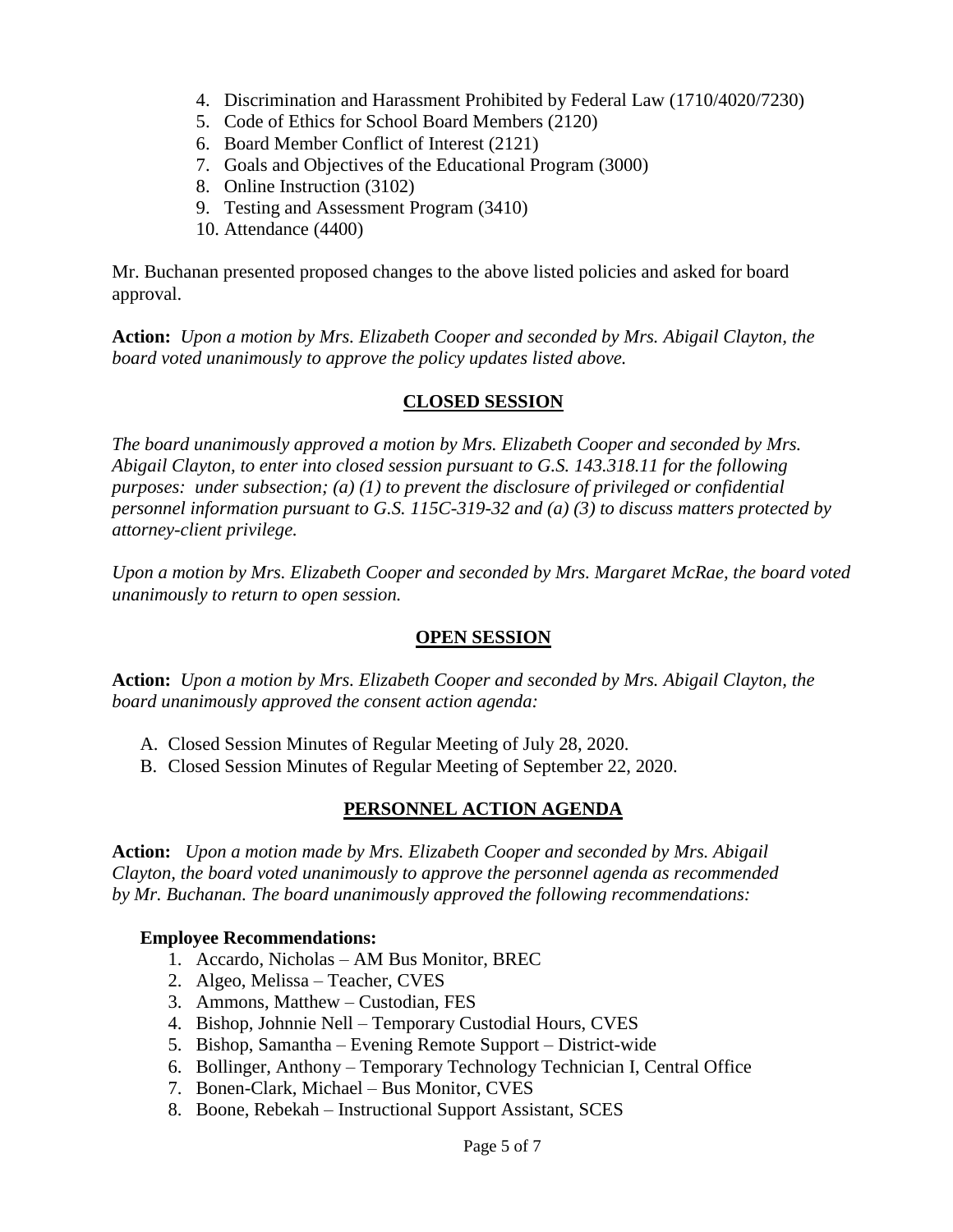- 4. Discrimination and Harassment Prohibited by Federal Law (1710/4020/7230)
- 5. Code of Ethics for School Board Members (2120)
- 6. Board Member Conflict of Interest (2121)
- 7. Goals and Objectives of the Educational Program (3000)
- 8. Online Instruction (3102)
- 9. Testing and Assessment Program (3410)
- 10. Attendance (4400)

Mr. Buchanan presented proposed changes to the above listed policies and asked for board approval.

**Action:** *Upon a motion by Mrs. Elizabeth Cooper and seconded by Mrs. Abigail Clayton, the board voted unanimously to approve the policy updates listed above.*

### **CLOSED SESSION**

*The board unanimously approved a motion by Mrs. Elizabeth Cooper and seconded by Mrs. Abigail Clayton, to enter into closed session pursuant to G.S. 143.318.11 for the following purposes: under subsection; (a) (1) to prevent the disclosure of privileged or confidential personnel information pursuant to G.S. 115C-319-32 and (a) (3) to discuss matters protected by attorney-client privilege.* 

*Upon a motion by Mrs. Elizabeth Cooper and seconded by Mrs. Margaret McRae, the board voted unanimously to return to open session.*

### **OPEN SESSION**

**Action:** *Upon a motion by Mrs. Elizabeth Cooper and seconded by Mrs. Abigail Clayton, the board unanimously approved the consent action agenda:*

- A. Closed Session Minutes of Regular Meeting of July 28, 2020.
- B. Closed Session Minutes of Regular Meeting of September 22, 2020.

# **PERSONNEL ACTION AGENDA**

**Action:** *Upon a motion made by Mrs. Elizabeth Cooper and seconded by Mrs. Abigail Clayton, the board voted unanimously to approve the personnel agenda as recommended by Mr. Buchanan. The board unanimously approved the following recommendations:*

### **Employee Recommendations:**

- 1. Accardo, Nicholas AM Bus Monitor, BREC
- 2. Algeo, Melissa Teacher, CVES
- 3. Ammons, Matthew Custodian, FES
- 4. Bishop, Johnnie Nell Temporary Custodial Hours, CVES
- 5. Bishop, Samantha Evening Remote Support District-wide
- 6. Bollinger, Anthony Temporary Technology Technician I, Central Office
- 7. Bonen-Clark, Michael Bus Monitor, CVES
- 8. Boone, Rebekah Instructional Support Assistant, SCES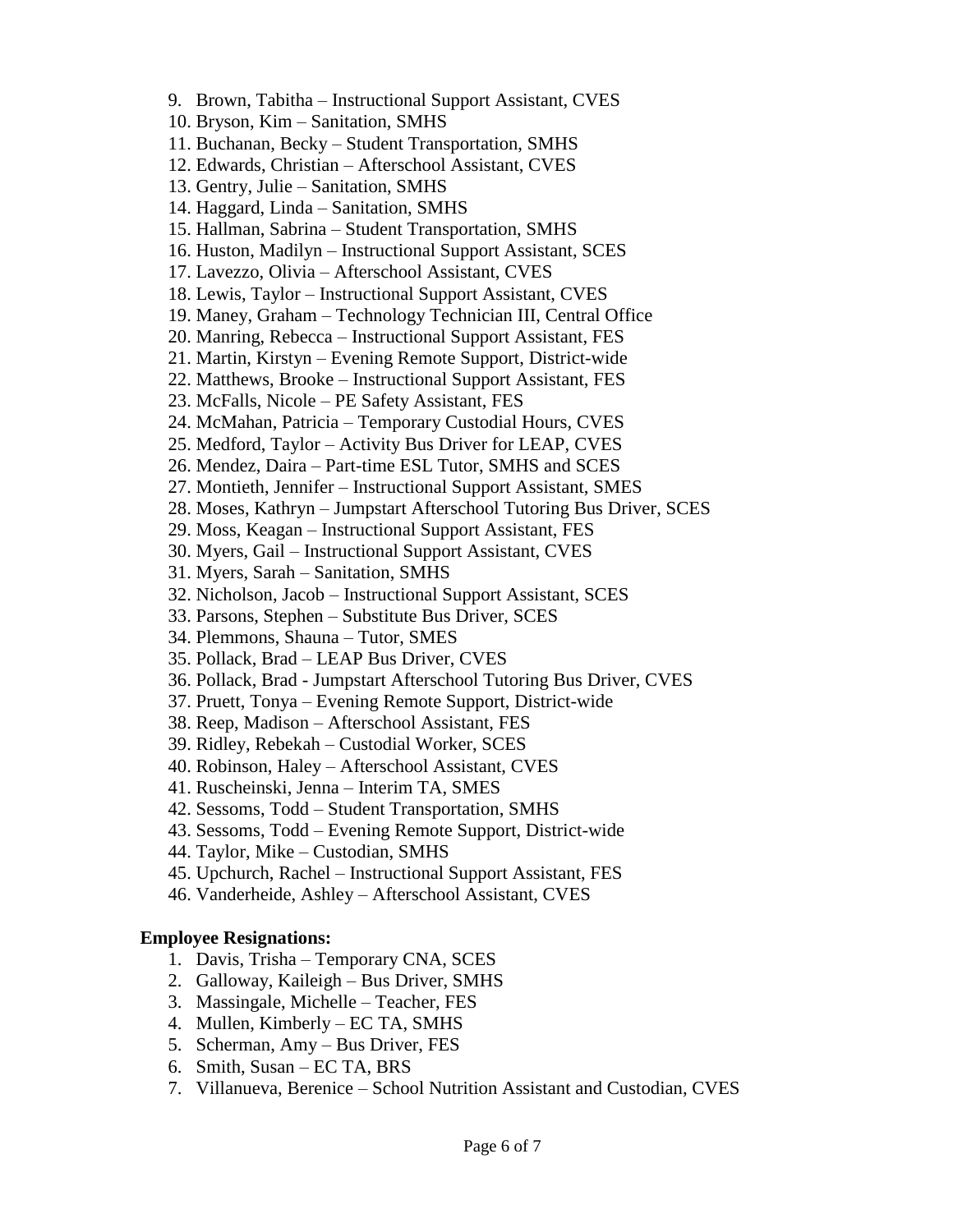10. Bryson, Kim – Sanitation, SMHS 11. Buchanan, Becky – Student Transportation, SMHS 12. Edwards, Christian – Afterschool Assistant, CVES 13. Gentry, Julie – Sanitation, SMHS 14. Haggard, Linda – Sanitation, SMHS 15. Hallman, Sabrina – Student Transportation, SMHS 16. Huston, Madilyn – Instructional Support Assistant, SCES 17. Lavezzo, Olivia – Afterschool Assistant, CVES 18. Lewis, Taylor – Instructional Support Assistant, CVES 19. Maney, Graham – Technology Technician III, Central Office 20. Manring, Rebecca – Instructional Support Assistant, FES 21. Martin, Kirstyn – Evening Remote Support, District-wide 22. Matthews, Brooke – Instructional Support Assistant, FES 23. McFalls, Nicole – PE Safety Assistant, FES 24. McMahan, Patricia – Temporary Custodial Hours, CVES 25. Medford, Taylor – Activity Bus Driver for LEAP, CVES 26. Mendez, Daira – Part-time ESL Tutor, SMHS and SCES 27. Montieth, Jennifer – Instructional Support Assistant, SMES 28. Moses, Kathryn – Jumpstart Afterschool Tutoring Bus Driver, SCES 29. Moss, Keagan – Instructional Support Assistant, FES 30. Myers, Gail – Instructional Support Assistant, CVES 31. Myers, Sarah – Sanitation, SMHS 32. Nicholson, Jacob – Instructional Support Assistant, SCES 33. Parsons, Stephen – Substitute Bus Driver, SCES 34. Plemmons, Shauna – Tutor, SMES 35. Pollack, Brad – LEAP Bus Driver, CVES 36. Pollack, Brad - Jumpstart Afterschool Tutoring Bus Driver, CVES 37. Pruett, Tonya – Evening Remote Support, District-wide 38. Reep, Madison – Afterschool Assistant, FES 39. Ridley, Rebekah – Custodial Worker, SCES 40. Robinson, Haley – Afterschool Assistant, CVES 41. Ruscheinski, Jenna – Interim TA, SMES 42. Sessoms, Todd – Student Transportation, SMHS 43. Sessoms, Todd – Evening Remote Support, District-wide 44. Taylor, Mike – Custodian, SMHS 45. Upchurch, Rachel – Instructional Support Assistant, FES 46. Vanderheide, Ashley – Afterschool Assistant, CVES **Employee Resignations:** 1. Davis, Trisha – Temporary CNA, SCES 2. Galloway, Kaileigh – Bus Driver, SMHS 3. Massingale, Michelle – Teacher, FES 4. Mullen, Kimberly – EC TA, SMHS

9. Brown, Tabitha – Instructional Support Assistant, CVES

- 5. Scherman, Amy Bus Driver, FES
- 6. Smith, Susan EC TA, BRS
- 7. Villanueva, Berenice School Nutrition Assistant and Custodian, CVES